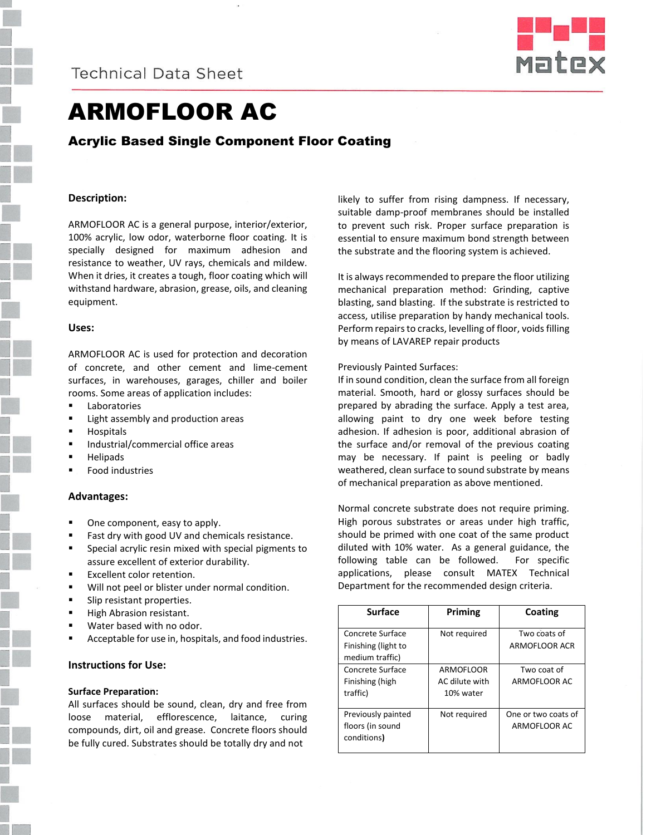

# ARMOFLOOR AC

Acrylic Based Single Component Floor Coating

# **Description:**

ARMOFLOOR AC is a general purpose, interior/exterior, 100% acrylic, low odor, waterborne floor coating. It is specially designed for maximum adhesion and resistance to weather, UV rays, chemicals and mildew. When it dries, it creates a tough, floor coating which will withstand hardware, abrasion, grease, oils, and cleaning equipment.

# **Uses:**

ARMOFLOOR AC is used for protection and decoration of concrete, and other cement and lime-cement surfaces, in warehouses, garages, chiller and boiler rooms. Some areas of application includes:

- **Laboratories**
- **EXECUTE:** Light assembly and production areas
- **Hospitals**
- **Industrial/commercial office areas**
- Helipads
- Food industries

# **Advantages:**

- One component, easy to apply.
- Fast dry with good UV and chemicals resistance.
- Special acrylic resin mixed with special pigments to assure excellent of exterior durability.
- Excellent color retention.
- **Will not peel or blister under normal condition.**
- **Slip resistant properties.**
- High Abrasion resistant.
- Water based with no odor.
- Acceptable for use in, hospitals, and food industries.

#### **Instructions for Use:**

#### **Surface Preparation:**

All surfaces should be sound, clean, dry and free from loose material, efflorescence, laitance, curing compounds, dirt, oil and grease. Concrete floors should be fully cured. Substrates should be totally dry and not

likely to suffer from rising dampness. If necessary, suitable damp-proof membranes should be installed to prevent such risk. Proper surface preparation is essential to ensure maximum bond strength between the substrate and the flooring system is achieved.

It is always recommended to prepare the floor utilizing mechanical preparation method: Grinding, captive blasting, sand blasting. If the substrate is restricted to access, utilise preparation by handy mechanical tools. Perform repairs to cracks, levelling of floor, voids filling by means of LAVAREP repair products

# Previously Painted Surfaces:

If in sound condition, clean the surface from all foreign material. Smooth, hard or glossy surfaces should be prepared by abrading the surface. Apply a test area, allowing paint to dry one week before testing adhesion. If adhesion is poor, additional abrasion of the surface and/or removal of the previous coating may be necessary. If paint is peeling or badly weathered, clean surface to sound substrate by means of mechanical preparation as above mentioned.

Normal concrete substrate does not require priming. High porous substrates or areas under high traffic, should be primed with one coat of the same product diluted with 10% water. As a general guidance, the following table can be followed. For specific applications, please consult MATEX Technical Department for the recommended design criteria.

| <b>Surface</b>                                             | Priming                                  | Coating                             |
|------------------------------------------------------------|------------------------------------------|-------------------------------------|
| Concrete Surface<br>Finishing (light to<br>medium traffic) | Not required                             | Two coats of<br>ARMOFLOOR ACR       |
| Concrete Surface<br>Finishing (high<br>traffic)            | ARMOFLOOR<br>AC dilute with<br>10% water | Two coat of<br>ARMOFLOOR AC         |
| Previously painted<br>floors (in sound<br>conditions)      | Not required                             | One or two coats of<br>ARMOFLOOR AC |